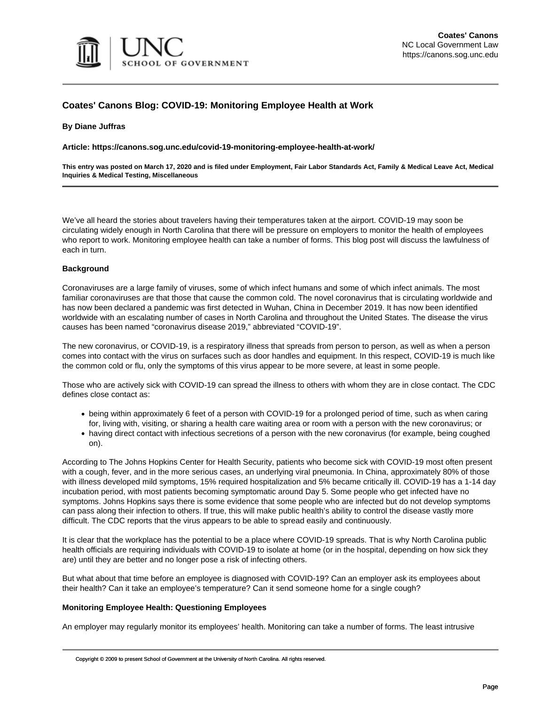

## **Coates' Canons Blog: COVID-19: Monitoring Employee Health at Work**

#### **By Diane Juffras**

**Article: https://canons.sog.unc.edu/covid-19-monitoring-employee-health-at-work/**

**This entry was posted on March 17, 2020 and is filed under Employment, Fair Labor Standards Act, Family & Medical Leave Act, Medical Inquiries & Medical Testing, Miscellaneous**

We've all heard the stories about travelers having their temperatures taken at the airport. COVID-19 may soon be circulating widely enough in North Carolina that there will be pressure on employers to monitor the health of employees who report to work. Monitoring employee health can take a number of forms. This blog post will discuss the lawfulness of each in turn.

### **Background**

Coronaviruses are a large family of viruses, some of which infect humans and some of which infect animals. The most familiar coronaviruses are that those that cause the common cold. The novel coronavirus that is circulating worldwide and has now been declared a pandemic was first detected in Wuhan, China in December 2019. It has now been identified worldwide with an escalating number of cases in North Carolina and throughout the United States. The disease the virus causes has been named "coronavirus disease 2019," abbreviated "COVID-19".

The new coronavirus, or COVID-19, is a respiratory illness that spreads from person to person, as well as when a person comes into contact with the virus on surfaces such as door handles and equipment. In this respect, COVID-19 is much like the common cold or flu, only the symptoms of this virus appear to be more severe, at least in some people.

Those who are actively sick with COVID-19 can spread the illness to others with whom they are in close contact. The CDC defines close contact as:

- being within approximately 6 feet of a person with COVID-19 for a prolonged period of time, such as when caring for, living with, visiting, or sharing a health care waiting area or room with a person with the new coronavirus; or
- having direct contact with infectious secretions of a person with the new coronavirus (for example, being coughed on).

According to [The Johns Hopkins Center for Health Security,](http://www.centerforhealthsecurity.org/our-work/publications/confronting-the-coronavirus-perspectives-on-the-response-to-a-pandemic-threat) patients who become sick with COVID-19 most often present with a cough, fever, and in the more serious cases, an underlying viral pneumonia. In China, approximately 80% of those with illness developed mild symptoms, 15% required hospitalization and 5% became critically ill. COVID-19 has a 1-14 day incubation period, with most patients becoming symptomatic around Day 5. Some people who get infected have no symptoms. Johns Hopkins says there is some evidence that some people who are infected but do not develop symptoms can pass along their infection to others. If true, this will make public health's ability to control the disease vastly more difficult. The [CDC reports](https://www.cdc.gov/coronavirus/2019-ncov/about/transmission.html) that the virus appears to be able to spread easily and continuously.

It is clear that the workplace has the potential to be a place where COVID-19 spreads. That is why North Carolina public health officials are requiring individuals with COVID-19 to isolate at home (or in the hospital, depending on how sick they are) until they are better and no longer pose a risk of infecting others.

But what about that time before an employee is diagnosed with COVID-19? Can an employer ask its employees about their health? Can it take an employee's temperature? Can it send someone home for a single cough?

#### **Monitoring Employee Health: Questioning Employees**

An employer may regularly monitor its employees' health. Monitoring can take a number of forms. The least intrusive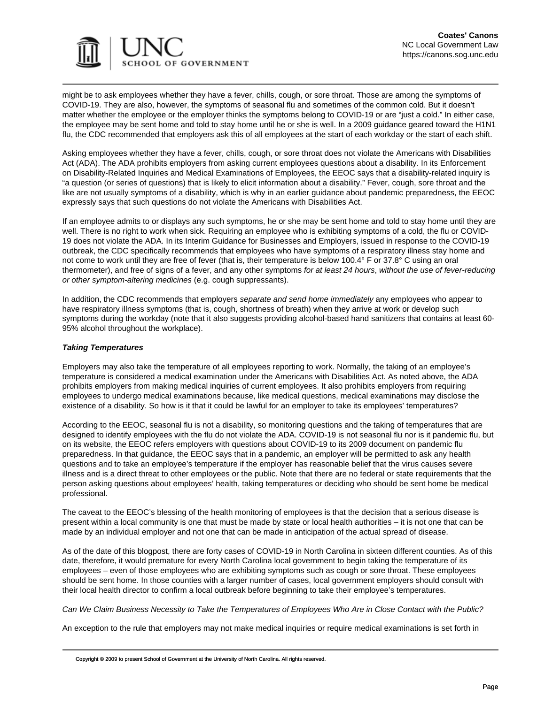

might be to ask employees whether they have a fever, chills, cough, or sore throat. Those are among the symptoms of COVID-19. They are also, however, the symptoms of seasonal flu and sometimes of the common cold. But it doesn't matter whether the employee or the employer thinks the symptoms belong to COVID-19 or are "just a cold." In either case, the employee may be sent home and told to stay home until he or she is well. In a 2009 guidance geared toward the H1N1 flu, the CDC recommended that employers ask this of all employees at the start of each workday or the start of each shift.

Asking employees whether they have a fever, chills, cough, or sore throat does not violate the Americans with Disabilities Act (ADA). [The ADA](https://www.law.cornell.edu/uscode/text/42/12112) prohibits employers from asking current employees questions about a disability. In its [Enforcement](https://www.eeoc.gov/policy/docs/guidance-inquiries.html#4)  [on Disability-Related Inquiries and Medical Examinations of Employees,](https://www.eeoc.gov/policy/docs/guidance-inquiries.html#4) the EEOC says that a disability-related inquiry is "a question (or series of questions) that is likely to elicit information about a disability." Fever, cough, sore throat and the like are not usually symptoms of a disability, which is why in an earlier [guidance about pandemic preparedness,](https://www.eeoc.gov/facts/pandemic_flu.html) the EEOC expressly says that such questions do not violate the Americans with Disabilities Act.

If an employee admits to or displays any such symptoms, he or she may be sent home and told to stay home until they are well. There is no right to work when sick. Requiring an employee who is exhibiting symptoms of a cold, the flu or COVID-19 does not violate the ADA. In its [Interim Guidance for Businesses and Employers,](https://www.cdc.gov/coronavirus/2019-ncov/community/guidance-business-response.html) issued in response to the COVID-19 outbreak, the CDC specifically recommends that employees who have symptoms of a respiratory illness stay home and not come to work until they are free of fever (that is, their temperature is below 100.4° F or 37.8° C using an oral thermometer), and free of signs of a fever, and any other symptoms for at least 24 hours, without the use of fever-reducing or other symptom-altering medicines (e.g. cough suppressants).

In addition, the CDC recommends that employers separate and send home immediately any employees who appear to have respiratory illness symptoms (that is, cough, shortness of breath) when they arrive at work or develop such symptoms during the workday (note that it also suggests providing alcohol-based hand sanitizers that contains at least 60- 95% alcohol throughout the workplace).

## **Taking Temperatures**

Employers may also take the temperature of all employees reporting to work. Normally, the taking of an employee's temperature is considered a medical examination under the Americans with Disabilities Act. As noted above, the ADA prohibits employers from making medical inquiries of current employees. It also prohibits employers from requiring employees to undergo medical examinations because, like medical questions, medical examinations may disclose the existence of a disability. So how is it that it could be lawful for an employer to take its employees' temperatures?

According to the EEOC, seasonal flu is not a disability, so monitoring questions and the taking of temperatures that are designed to identify employees with the flu do not violate the ADA. COVID-19 is not seasonal flu nor is it pandemic flu, but [on its website, the EEOC refers employers](https://www.eeoc.gov/eeoc/newsroom/wysk/wysk_ada_rehabilitaion_act_coronavirus.cfm) with questions about COVID-19 to its [2009 document on pandemic flu](https://www.eeoc.gov/facts/pandemic_flu.html)  [preparedness](https://www.eeoc.gov/facts/pandemic_flu.html). In that guidance, the EEOC says that in a pandemic, an employer will be permitted to ask any health questions and to take an employee's temperature if the employer has reasonable belief that the virus causes severe illness and is a direct threat to other employees or the public. Note that there are no federal or state requirements that the person asking questions about employees' health, taking temperatures or deciding who should be sent home be medical professional.

The caveat to the EEOC's blessing of the health monitoring of employees is that the decision that a serious disease is present within a local community is one that must be made by state or local health authorities – it is not one that can be made by an individual employer and not one that can be made in anticipation of the actual spread of disease.

As of the date of this blogpost, there are forty cases of COVID-19 in North Carolina in sixteen different counties. As of this date, therefore, it would premature for every North Carolina local government to begin taking the temperature of its employees – even of those employees who are exhibiting symptoms such as cough or sore throat. These employees should be sent home. In those counties with a larger number of cases, local government employers should consult with their local health director to confirm a local outbreak before beginning to take their employee's temperatures.

Can We Claim Business Necessity to Take the Temperatures of Employees Who Are in Close Contact with the Public?

An exception to the rule that employers may not make medical inquiries or require medical examinations is set forth in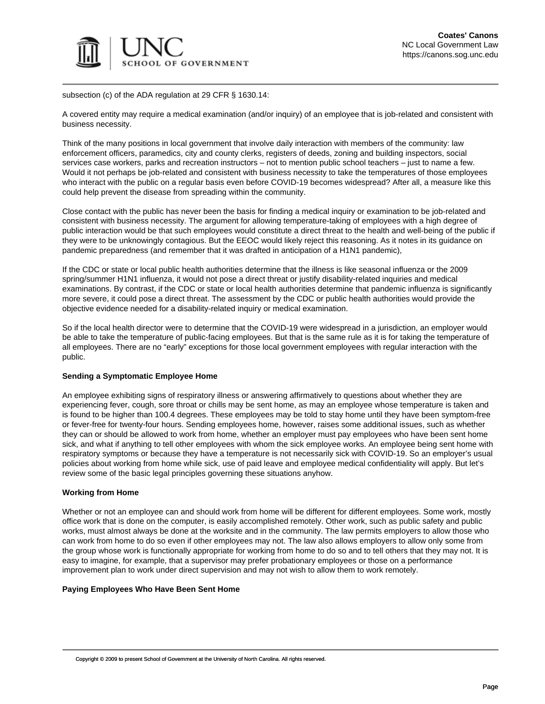

subsection (c) of the ADA regulation at [29 CFR § 1630.14](https://www.law.cornell.edu/cfr/text/29/1630.14):

A covered entity may require a medical examination (and/or inquiry) of an employee that is job-related and consistent with business necessity.

Think of the many positions in local government that involve daily interaction with members of the community: law enforcement officers, paramedics, city and county clerks, registers of deeds, zoning and building inspectors, social services case workers, parks and recreation instructors – not to mention public school teachers – just to name a few. Would it not perhaps be job-related and consistent with business necessity to take the temperatures of those employees who interact with the public on a regular basis even before COVID-19 becomes widespread? After all, a measure like this could help prevent the disease from spreading within the community.

Close contact with the public has never been the basis for finding a medical inquiry or examination to be job-related and consistent with business necessity. The argument for allowing temperature-taking of employees with a high degree of public interaction would be that such employees would constitute a direct threat to the health and well-being of the public if they were to be unknowingly contagious. But the EEOC would likely reject this reasoning. As it notes in its guidance on pandemic preparedness (and remember that it was drafted in anticipation of a H1N1 pandemic),

If the CDC or state or local public health authorities determine that the illness is like seasonal influenza or the 2009 spring/summer H1N1 influenza, it would not pose a direct threat or justify disability-related inquiries and medical examinations. By contrast, if the CDC or state or local health authorities determine that pandemic influenza is significantly more severe, it could pose a direct threat. The assessment by the CDC or public health authorities would provide the objective evidence needed for a disability-related inquiry or medical examination.

So if the local health director were to determine that the COVID-19 were widespread in a jurisdiction, an employer would be able to take the temperature of public-facing employees. But that is the same rule as it is for taking the temperature of all employees. There are no "early" exceptions for those local government employees with regular interaction with the public.

### **Sending a Symptomatic Employee Home**

An employee exhibiting signs of respiratory illness or answering affirmatively to questions about whether they are experiencing fever, cough, sore throat or chills may be sent home, as may an employee whose temperature is taken and is found to be higher than 100.4 degrees. These employees may be told to stay home until they have been symptom-free or fever-free for twenty-four hours. Sending employees home, however, raises some additional issues, such as whether they can or should be allowed to work from home, whether an employer must pay employees who have been sent home sick, and what if anything to tell other employees with whom the sick employee works. An employee being sent home with respiratory symptoms or because they have a temperature is not necessarily sick with COVID-19. So an employer's usual policies about working from home while sick, use of paid leave and employee medical confidentiality will apply. But let's review some of the basic legal principles governing these situations anyhow.

### **Working from Home**

Whether or not an employee can and should work from home will be different for different employees. Some work, mostly office work that is done on the computer, is easily accomplished remotely. Other work, such as public safety and public works, must almost always be done at the worksite and in the community. The law permits employers to allow those who can work from home to do so even if other employees may not. The law also allows employers to allow only some from the group whose work is functionally appropriate for working from home to do so and to tell others that they may not. It is easy to imagine, for example, that a supervisor may prefer probationary employees or those on a performance improvement plan to work under direct supervision and may not wish to allow them to work remotely.

#### **Paying Employees Who Have Been Sent Home**